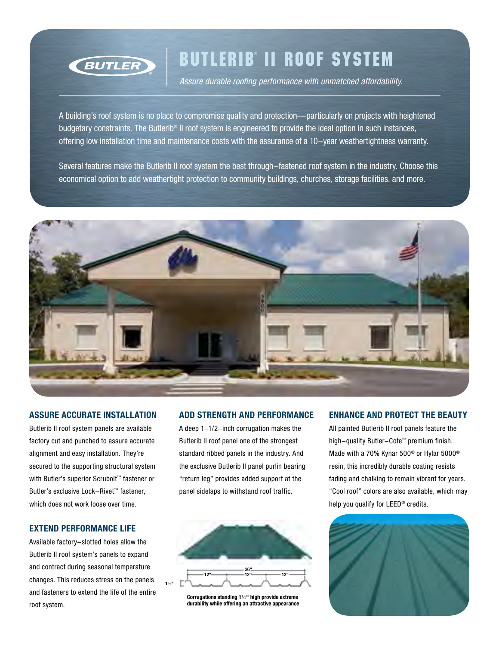

## Butlerib ® II Roof System

*Assure durable roofing performance with unmatched affordability.*

A building's roof system is no place to compromise quality and protection—particularly on projects with heightened budgetary constraints. The Butlerib® II roof system is engineered to provide the ideal option in such instances, offering low installation time and maintenance costs with the assurance of a 10-year weathertightness warranty.

Several features make the Butlerib II roof system the best through-fastened roof system in the industry. Choose this economical option to add weathertight protection to community buildings, churches, storage facilities, and more.



### **Assure accurate installation**

Butlerib II roof system panels are available factory cut and punched to assure accurate alignment and easy installation. They're secured to the supporting structural system with Butler's superior Scrubolt™ fastener or Butler's exclusive Lock-Rivet™ fastener, which does not work loose over time.

### **Extend performance life**

Available factory-slotted holes allow the Butlerib II roof system's panels to expand and contract during seasonal temperature changes. This reduces stress on the panels and fasteners to extend the life of the entire roof system.

### **Add strength and performance**

A deep 1-1/2-inch corrugation makes the Butlerib II roof panel one of the strongest standard ribbed panels in the industry. And the exclusive Butlerib II panel purlin bearing "return leg" provides added support at the panel sidelaps to withstand roof traffic.



**Corrugations standing 1**-1/2**" high provide extreme durability while offering an attractive appearance**

### **Enhance and protect the beauty**

All painted Butlerib II roof panels feature the high-quality Butler-Cote™ premium finish. Made with a 70% Kynar 500® or Hylar 5000® resin, this incredibly durable coating resists fading and chalking to remain vibrant for years. "Cool roof" colors are also available, which may help you qualify for LEED® credits.